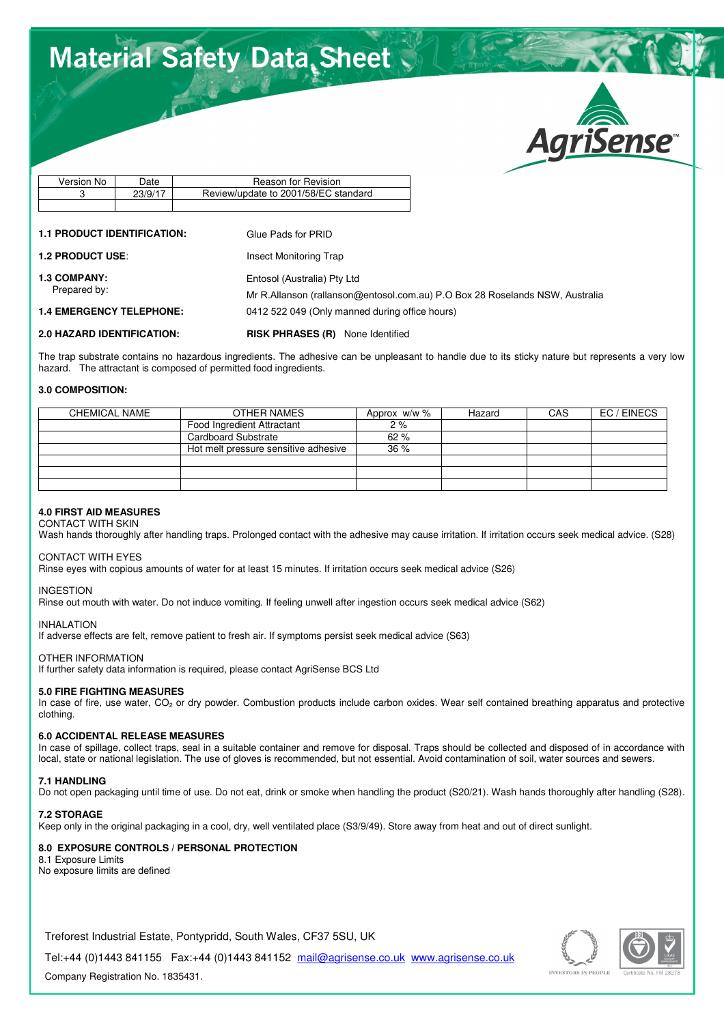# **Material Safety Data Sheet**



| Version No | Date    | Reason for Revision                  |
|------------|---------|--------------------------------------|
|            | 23/9/17 | Review/update to 2001/58/EC standard |
|            |         |                                      |

## **1.1 PRODUCT IDENTIFICATION:** Glue Pads for PRID

Entosol (Australia) Pty Ltd

**1.2 PRODUCT USE:** Insect Monitoring Trap

**1.3 COMPANY:**

Prepared by:

**1.4 EMERGENCY TELEPHONE:** 

**2.0 HAZARD IDENTIFICATION: RISK PHRASES (R)** None Identified

The trap substrate contains no hazardous ingredients. The adhesive can be unpleasant to handle due to its sticky nature but represents a very low hazard. The attractant is composed of permitted food ingredients.

0412 522 049 (Only manned during office hours)

Mr R.Allanson (rallanson@entosol.com.au) P.O Box 28 Roselands NSW, Australia

## **3.0 COMPOSITION:**

| <b>CHEMICAL NAME</b> | OTHER NAMES                          | Approx $w/w$ % | Hazard | CAS | EC / EINECS |
|----------------------|--------------------------------------|----------------|--------|-----|-------------|
|                      | Food Ingredient Attractant           | 2%             |        |     |             |
|                      | Cardboard Substrate                  | 62%            |        |     |             |
|                      | Hot melt pressure sensitive adhesive | 36%            |        |     |             |
|                      |                                      |                |        |     |             |
|                      |                                      |                |        |     |             |
|                      |                                      |                |        |     |             |

## **4.0 FIRST AID MEASURES**

## CONTACT WITH SKIN

Wash hands thoroughly after handling traps. Prolonged contact with the adhesive may cause irritation. If irritation occurs seek medical advice. (S28)

CONTACT WITH EYES

Rinse eyes with copious amounts of water for at least 15 minutes. If irritation occurs seek medical advice (S26)

## INGESTION

Rinse out mouth with water. Do not induce vomiting. If feeling unwell after ingestion occurs seek medical advice (S62)

## INHAI ATION

If adverse effects are felt, remove patient to fresh air. If symptoms persist seek medical advice (S63)

## OTHER INFORMATION

If further safety data information is required, please contact AgriSense BCS Ltd

## **5.0 FIRE FIGHTING MEASURES**

In case of fire, use water,  $CO<sub>2</sub>$  or dry powder. Combustion products include carbon oxides. Wear self contained breathing apparatus and protective clothing.

## **6.0 ACCIDENTAL RELEASE MEASURES**

In case of spillage, collect traps, seal in a suitable container and remove for disposal. Traps should be collected and disposed of in accordance with local, state or national legislation. The use of gloves is recommended, but not essential. Avoid contamination of soil, water sources and sewers.

## **7.1 HANDLING**

Do not open packaging until time of use. Do not eat, drink or smoke when handling the product (S20/21). Wash hands thoroughly after handling (S28).

## **7.2 STORAGE**

Keep only in the original packaging in a cool, dry, well ventilated place (S3/9/49). Store away from heat and out of direct sunlight.

## **8.0 EXPOSURE CONTROLS / PERSONAL PROTECTION**

8.1 Exposure Limits No exposure limits are defined

Treforest Industrial Estate, Pontypridd, South Wales, CF37 5SU, UK

Tel:+44 (0)1443 841155 Fax:+44 (0)1443 841152 mail@agrisense.co.uk www.agrisense.co.uk